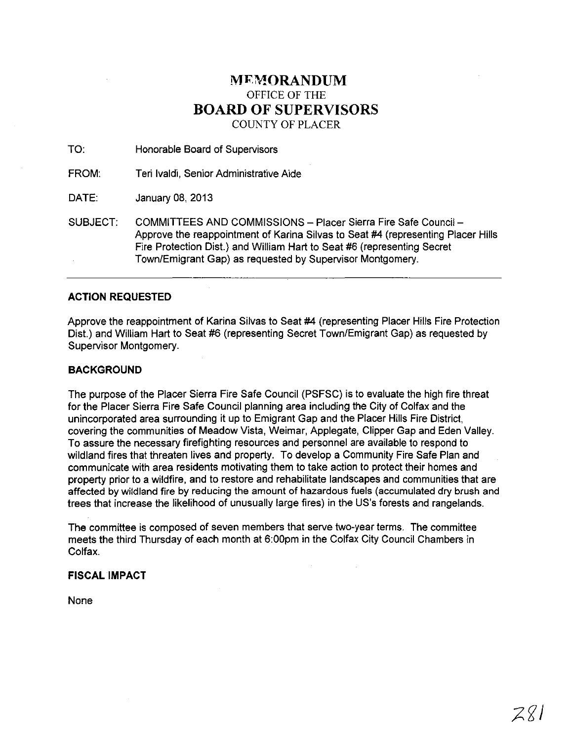## **MEMORANDUM** OFFICE OF THE **BOARD OF SUPERVISORS**  COUNTY OF PLACER

TO: Honorable Board of Supervisors

FROM: Teri Ivaldi, Senior Administrative Aide

DATE: January 08, 2013

SUBJECT: COMMITTEES AND COMMISSIONS - Placer Sierra Fire Safe Council -Approve the reappointment of Karina Silvas to Seat #4 (representing Placer Hills Fire Protection Dist.) and William Hart to Seat #6 (representing Secret Town/Emigrant Gap) as requested by Supervisor Montgomery.

#### **ACTION REQUESTED**

Approve the reappointment of Karina Silvas to Seat #4 (representing Placer Hills Fire Protection Dist.) and William Hart to Seat #6 (representing Secret Town/Emigrant Gap) as requested by Supervisor Montgomery.

#### **BACKGROUND**

The purpose of the Placer Sierra Fire Safe Council (PSFSC) is to evaluate the high fire threat for the Placer Sierra Fire Safe Council planning area including the City of Colfax and the unincorporated area surrounding it up to Emigrant Gap and the Placer Hills Fire District, covering the communities of Meadow Vista, Weimar, Applegate, Clipper Gap and Eden Valley. To assure the necessary firefighting resources and personnel are available to respond to wildland fires that threaten lives and property. To develop a Community Fire Safe Plan and communicate with area residents motivating them to take action to protect their homes and property prior to a wildfire, and to restore and rehabilitate landscapes and communities that are affected by wildland fire by reducing the amount of hazardous fuels (accumulated dry brush and trees that increase the likelihood of unusually large fires) in the US's forests and rangelands.

**The** committee is composed of seven members that serve two-year terms. The committee meets the third Thursday of each month at 6:00pm in the Colfax City Council Chambers in Colfax.

### **FISCAL IMPACT**

None